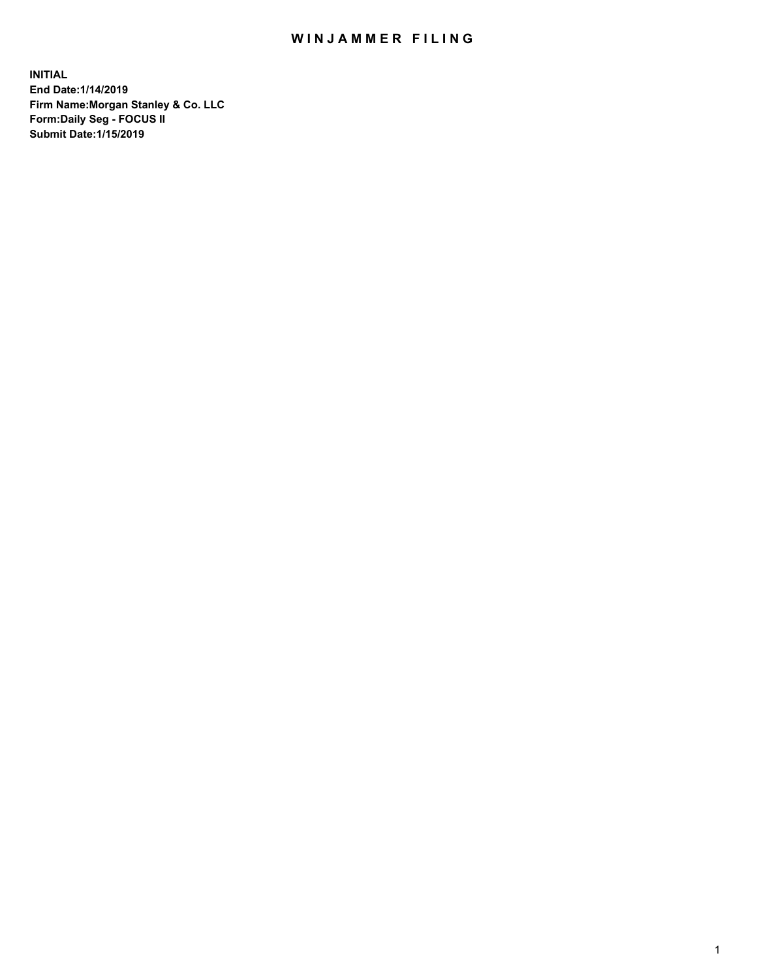## WIN JAMMER FILING

**INITIAL End Date:1/14/2019 Firm Name:Morgan Stanley & Co. LLC Form:Daily Seg - FOCUS II Submit Date:1/15/2019**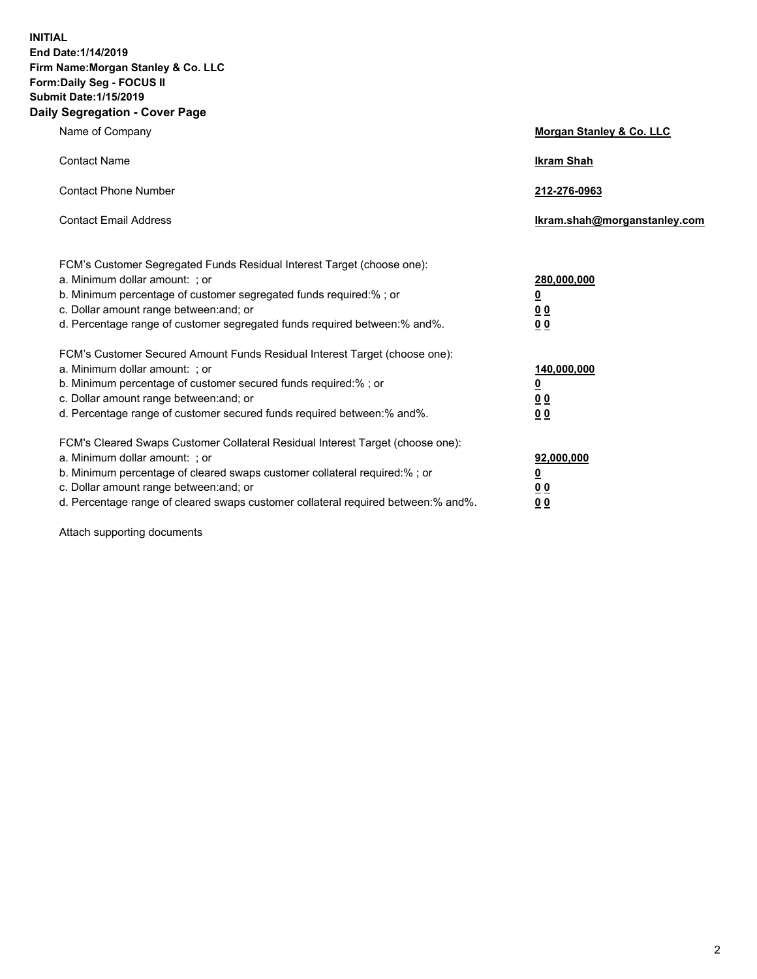**INITIAL End Date:1/14/2019 Firm Name:Morgan Stanley & Co. LLC Form:Daily Seg - FOCUS II Submit Date:1/15/2019 Daily Segregation - Cover Page**

| Name of Company                                                                                                                                                                                                                                                                                                                | Morgan Stanley & Co. LLC                               |
|--------------------------------------------------------------------------------------------------------------------------------------------------------------------------------------------------------------------------------------------------------------------------------------------------------------------------------|--------------------------------------------------------|
| <b>Contact Name</b>                                                                                                                                                                                                                                                                                                            | <b>Ikram Shah</b>                                      |
| <b>Contact Phone Number</b>                                                                                                                                                                                                                                                                                                    | 212-276-0963                                           |
| <b>Contact Email Address</b>                                                                                                                                                                                                                                                                                                   | Ikram.shah@morganstanley.com                           |
| FCM's Customer Segregated Funds Residual Interest Target (choose one):<br>a. Minimum dollar amount: ; or<br>b. Minimum percentage of customer segregated funds required:% ; or<br>c. Dollar amount range between: and; or<br>d. Percentage range of customer segregated funds required between:% and%.                         | 280,000,000<br><u>0</u><br><u>0 0</u><br>0 Q           |
| FCM's Customer Secured Amount Funds Residual Interest Target (choose one):<br>a. Minimum dollar amount: ; or<br>b. Minimum percentage of customer secured funds required:%; or<br>c. Dollar amount range between: and; or<br>d. Percentage range of customer secured funds required between:% and%.                            | 140,000,000<br><u>0</u><br><u>00</u><br>0 <sub>0</sub> |
| FCM's Cleared Swaps Customer Collateral Residual Interest Target (choose one):<br>a. Minimum dollar amount: ; or<br>b. Minimum percentage of cleared swaps customer collateral required:% ; or<br>c. Dollar amount range between: and; or<br>d. Percentage range of cleared swaps customer collateral required between:% and%. | 92,000,000<br><u>0</u><br><u>00</u><br>0 <sub>0</sub>  |

Attach supporting documents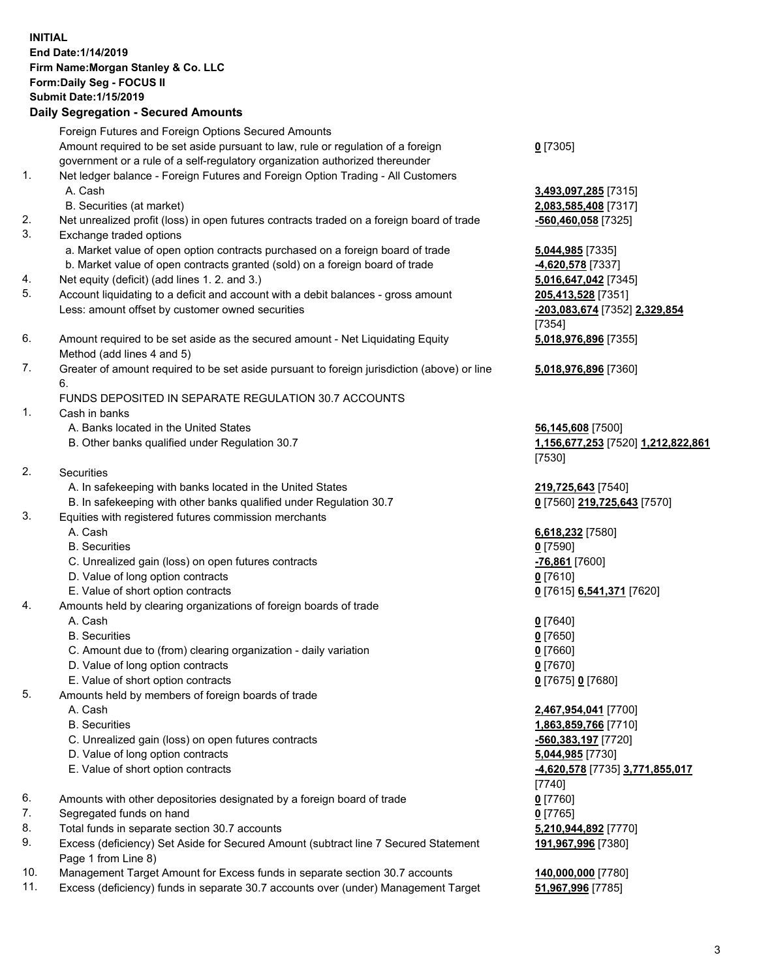## **INITIAL End Date:1/14/2019 Firm Name:Morgan Stanley & Co. LLC Form:Daily Seg - FOCUS II Submit Date:1/15/2019 Daily Segregation - Secured Amounts**

Foreign Futures and Foreign Options Secured Amounts

Amount required to be set aside pursuant to law, rule or regulation of a foreign government or a rule of a self-regulatory organization authorized thereunder

- 1. Net ledger balance Foreign Futures and Foreign Option Trading All Customers A. Cash **3,493,097,285** [7315]
	- B. Securities (at market) **2,083,585,408** [7317]
- 2. Net unrealized profit (loss) in open futures contracts traded on a foreign board of trade **-560,460,058** [7325]
- 3. Exchange traded options
	- a. Market value of open option contracts purchased on a foreign board of trade **5,044,985** [7335]
	- b. Market value of open contracts granted (sold) on a foreign board of trade **-4,620,578** [7337]
- 4. Net equity (deficit) (add lines 1. 2. and 3.) **5,016,647,042** [7345]
- 5. Account liquidating to a deficit and account with a debit balances gross amount **205,413,528** [7351] Less: amount offset by customer owned securities **-203,083,674** [7352] **2,329,854**
- 6. Amount required to be set aside as the secured amount Net Liquidating Equity Method (add lines 4 and 5)
- 7. Greater of amount required to be set aside pursuant to foreign jurisdiction (above) or line 6.

## FUNDS DEPOSITED IN SEPARATE REGULATION 30.7 ACCOUNTS

- 1. Cash in banks
	- A. Banks located in the United States **56,145,608** [7500]
	- B. Other banks qualified under Regulation 30.7 **1,156,677,253** [7520] **1,212,822,861**
- 2. Securities
	- A. In safekeeping with banks located in the United States **219,725,643** [7540]
	- B. In safekeeping with other banks qualified under Regulation 30.7 **0** [7560] **219,725,643** [7570]
- 3. Equities with registered futures commission merchants
	-
	- B. Securities **0** [7590]
	- C. Unrealized gain (loss) on open futures contracts **-76,861** [7600]
	- D. Value of long option contracts **0** [7610]
- E. Value of short option contracts **0** [7615] **6,541,371** [7620]
- 4. Amounts held by clearing organizations of foreign boards of trade
	- A. Cash **0** [7640]
	- B. Securities **0** [7650]
	- C. Amount due to (from) clearing organization daily variation **0** [7660]
	- D. Value of long option contracts **0** [7670]
	- E. Value of short option contracts **0** [7675] **0** [7680]
- 5. Amounts held by members of foreign boards of trade
	-
	-
	- C. Unrealized gain (loss) on open futures contracts **-560,383,197** [7720]
	- D. Value of long option contracts **5,044,985** [7730]
	- E. Value of short option contracts **-4,620,578** [7735] **3,771,855,017**
- 6. Amounts with other depositories designated by a foreign board of trade **0** [7760]
- 7. Segregated funds on hand **0** [7765]
- 8. Total funds in separate section 30.7 accounts **5,210,944,892** [7770]
- 9. Excess (deficiency) Set Aside for Secured Amount (subtract line 7 Secured Statement Page 1 from Line 8)
- 10. Management Target Amount for Excess funds in separate section 30.7 accounts **140,000,000** [7780]
- 11. Excess (deficiency) funds in separate 30.7 accounts over (under) Management Target **51,967,996** [7785]

**0** [7305]

[7354] **5,018,976,896** [7355]

**5,018,976,896** [7360]

[7530]

A. Cash **6,618,232** [7580]

 A. Cash **2,467,954,041** [7700] B. Securities **1,863,859,766** [7710] [7740] **191,967,996** [7380]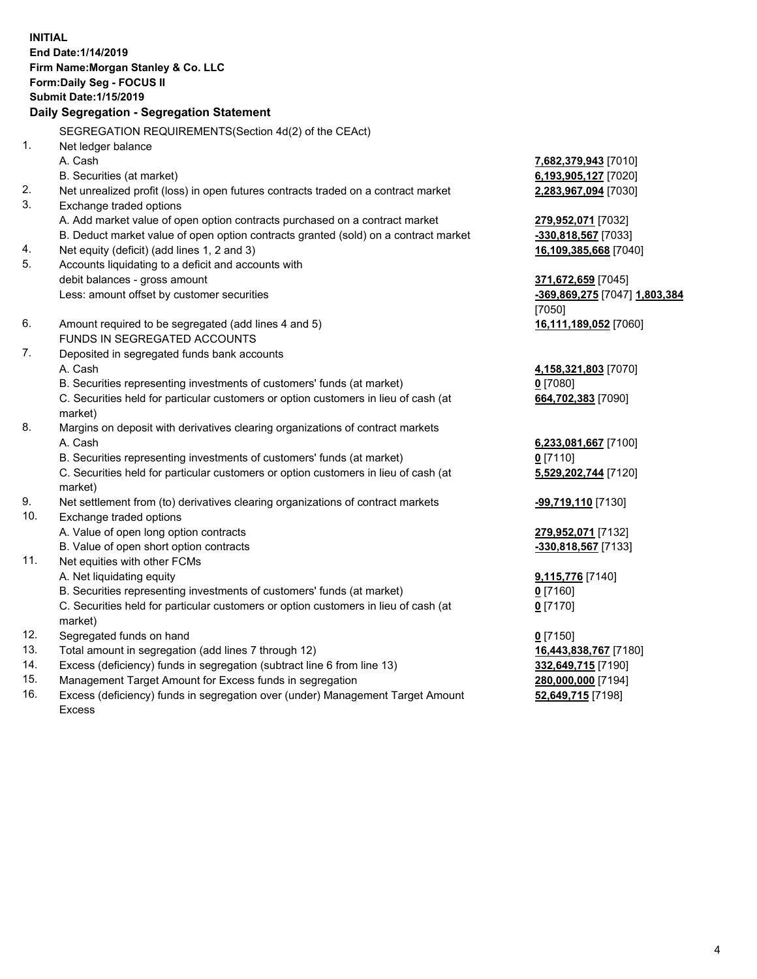**INITIAL End Date:1/14/2019 Firm Name:Morgan Stanley & Co. LLC Form:Daily Seg - FOCUS II Submit Date:1/15/2019 Daily Segregation - Segregation Statement** SEGREGATION REQUIREMENTS(Section 4d(2) of the CEAct) 1. Net ledger balance A. Cash **7,682,379,943** [7010] B. Securities (at market) **6,193,905,127** [7020] 2. Net unrealized profit (loss) in open futures contracts traded on a contract market **2,283,967,094** [7030] 3. Exchange traded options A. Add market value of open option contracts purchased on a contract market **279,952,071** [7032] B. Deduct market value of open option contracts granted (sold) on a contract market **-330,818,567** [7033] 4. Net equity (deficit) (add lines 1, 2 and 3) **16,109,385,668** [7040] 5. Accounts liquidating to a deficit and accounts with debit balances - gross amount **371,672,659** [7045] Less: amount offset by customer securities **-369,869,275** [7047] **1,803,384** [7050] 6. Amount required to be segregated (add lines 4 and 5) **16,111,189,052** [7060] FUNDS IN SEGREGATED ACCOUNTS 7. Deposited in segregated funds bank accounts A. Cash **4,158,321,803** [7070] B. Securities representing investments of customers' funds (at market) **0** [7080] C. Securities held for particular customers or option customers in lieu of cash (at market) **664,702,383** [7090] 8. Margins on deposit with derivatives clearing organizations of contract markets A. Cash **6,233,081,667** [7100] B. Securities representing investments of customers' funds (at market) **0** [7110] C. Securities held for particular customers or option customers in lieu of cash (at market) **5,529,202,744** [7120] 9. Net settlement from (to) derivatives clearing organizations of contract markets **-99,719,110** [7130] 10. Exchange traded options A. Value of open long option contracts **279,952,071** [7132] B. Value of open short option contracts **-330,818,567** [7133] 11. Net equities with other FCMs A. Net liquidating equity **9,115,776** [7140] B. Securities representing investments of customers' funds (at market) **0** [7160] C. Securities held for particular customers or option customers in lieu of cash (at market) **0** [7170] 12. Segregated funds on hand **0** [7150] 13. Total amount in segregation (add lines 7 through 12) **16,443,838,767** [7180] 14. Excess (deficiency) funds in segregation (subtract line 6 from line 13) **332,649,715** [7190]

- 15. Management Target Amount for Excess funds in segregation **280,000,000** [7194]
- 16. Excess (deficiency) funds in segregation over (under) Management Target Amount Excess

**52,649,715** [7198]